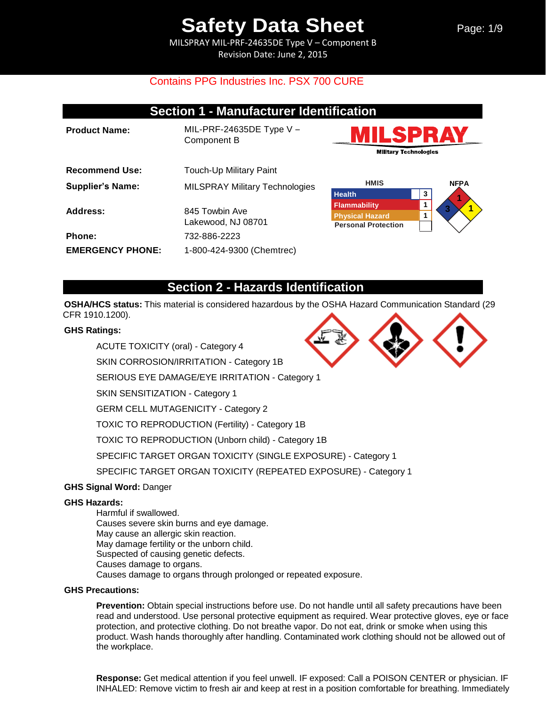MILSPRAY MIL-PRF-24635DE Type V – Component B Revision Date: June 2, 2015

## **Section 1 - Manufacturer Identification**

| <b>Product Name:</b>    | MIL-PRF-24635DE Type V -<br>Component B |  |  |  |  |
|-------------------------|-----------------------------------------|--|--|--|--|
| <b>Recommend Use:</b>   | Touch-Up Military Paint                 |  |  |  |  |
| <b>Supplier's Name:</b> | <b>MILSPRAY Military Technologies</b>   |  |  |  |  |
| Address:                | 845 Towbin Ave<br>Lakewood, NJ 08701    |  |  |  |  |
| <b>Phone:</b>           | 732-886-2223                            |  |  |  |  |
| <b>EMERGENCY PHONE:</b> | 1-800-424-9300 (Chemtrec)               |  |  |  |  |





## **Section 2 - Hazards Identification**

**OSHA/HCS status:** This material is considered hazardous by the OSHA Hazard Communication Standard (29 CFR 1910.1200).

## **GHS Ratings:**

ACUTE TOXICITY (oral) - Category 4

SKIN CORROSION/IRRITATION - Category 1B

SERIOUS EYE DAMAGE/EYE IRRITATION - Category 1

SKIN SENSITIZATION - Category 1

GERM CELL MUTAGENICITY - Category 2

TOXIC TO REPRODUCTION (Fertility) - Category 1B

TOXIC TO REPRODUCTION (Unborn child) - Category 1B

SPECIFIC TARGET ORGAN TOXICITY (SINGLE EXPOSURE) - Category 1

SPECIFIC TARGET ORGAN TOXICITY (REPEATED EXPOSURE) - Category 1

## **GHS Signal Word:** Danger

## **GHS Hazards:**

Harmful if swallowed. Causes severe skin burns and eye damage. May cause an allergic skin reaction. May damage fertility or the unborn child. Suspected of causing genetic defects. Causes damage to organs. Causes damage to organs through prolonged or repeated exposure.

## **GHS Precautions:**

**Prevention:** Obtain special instructions before use. Do not handle until all safety precautions have been read and understood. Use personal protective equipment as required. Wear protective gloves, eye or face protection, and protective clothing. Do not breathe vapor. Do not eat, drink or smoke when using this product. Wash hands thoroughly after handling. Contaminated work clothing should not be allowed out of the workplace.

**Response:** Get medical attention if you feel unwell. IF exposed: Call a POISON CENTER or physician. IF INHALED: Remove victim to fresh air and keep at rest in a position comfortable for breathing. Immediately

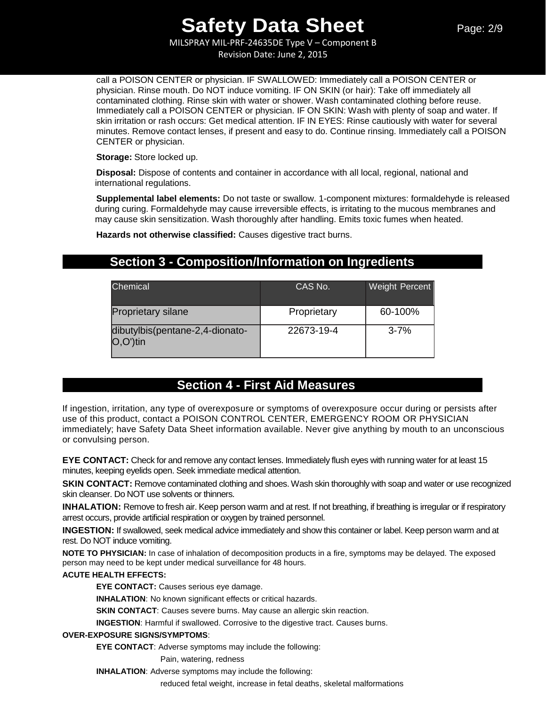MILSPRAY MIL-PRF-24635DE Type V – Component B Revision Date: June 2, 2015

call a POISON CENTER or physician. IF SWALLOWED: Immediately call a POISON CENTER or physician. Rinse mouth. Do NOT induce vomiting. IF ON SKIN (or hair): Take off immediately all contaminated clothing. Rinse skin with water or shower. Wash contaminated clothing before reuse. Immediately call a POISON CENTER or physician. IF ON SKIN: Wash with plenty of soap and water. If skin irritation or rash occurs: Get medical attention. IF IN EYES: Rinse cautiously with water for several minutes. Remove contact lenses, if present and easy to do. Continue rinsing. Immediately call a POISON CENTER or physician.

**Storage:** Store locked up.

**Disposal:** Dispose of contents and container in accordance with all local, regional, national and international regulations.

**Supplemental label elements:** Do not taste or swallow. 1-component mixtures: formaldehyde is released during curing. Formaldehyde may cause irreversible effects, is irritating to the mucous membranes and may cause skin sensitization. Wash thoroughly after handling. Emits toxic fumes when heated.

**Hazards not otherwise classified:** Causes digestive tract burns.

## **Section 3 - Composition/Information on Ingredients**

| Chemical                                       | CAS No.     | <b>Weight Percent</b> |
|------------------------------------------------|-------------|-----------------------|
| Proprietary silane                             | Proprietary | 60-100%               |
| dibutylbis(pentane-2,4-dionato-<br>$O,O'$ )tin | 22673-19-4  | $3 - 7%$              |

## **Section 4 - First Aid Measures**

If ingestion, irritation, any type of overexposure or symptoms of overexposure occur during or persists after use of this product, contact a POISON CONTROL CENTER, EMERGENCY ROOM OR PHYSICIAN immediately; have Safety Data Sheet information available. Never give anything by mouth to an unconscious or convulsing person.

**EYE CONTACT:** Check for and remove any contact lenses. Immediately flush eyes with running water for at least 15 minutes, keeping eyelids open. Seek immediate medical attention.

**SKIN CONTACT:** Remove contaminated clothing and shoes. Wash skin thoroughly with soap and water or use recognized skin cleanser. Do NOT use solvents or thinners.

**INHALATION:** Remove to fresh air. Keep person warm and at rest. If not breathing, if breathing is irregular or if respiratory arrest occurs, provide artificial respiration or oxygen by trained personnel.

**INGESTION:** If swallowed, seek medical advice immediately and show this container or label. Keep person warm and at rest. Do NOT induce vomiting.

**NOTE TO PHYSICIAN:** In case of inhalation of decomposition products in a fire, symptoms may be delayed. The exposed person may need to be kept under medical surveillance for 48 hours.

## **ACUTE HEALTH EFFECTS:**

**EYE CONTACT:** Causes serious eye damage.

**INHALATION**: No known significant effects or critical hazards.

**SKIN CONTACT:** Causes severe burns. May cause an allergic skin reaction.

**INGESTION**: Harmful if swallowed. Corrosive to the digestive tract. Causes burns.

## **OVER-EXPOSURE SIGNS/SYMPTOMS**:

**EYE CONTACT**: Adverse symptoms may include the following:

Pain, watering, redness

**INHALATION**: Adverse symptoms may include the following:

reduced fetal weight, increase in fetal deaths, skeletal malformations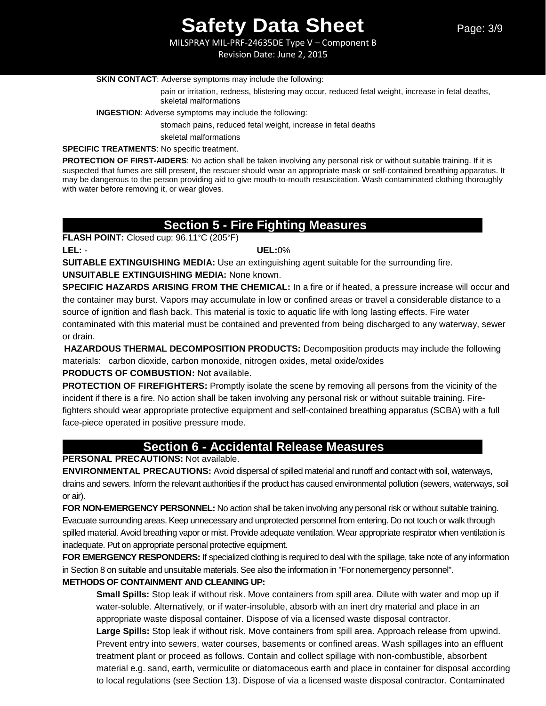MILSPRAY MIL-PRF-24635DE Type V – Component B Revision Date: June 2, 2015

#### **SKIN CONTACT:** Adverse symptoms may include the following:

pain or irritation, redness, blistering may occur, reduced fetal weight, increase in fetal deaths, skeletal malformations

**INGESTION**: Adverse symptoms may include the following:

stomach pains, reduced fetal weight, increase in fetal deaths

skeletal malformations

#### **SPECIFIC TREATMENTS**: No specific treatment.

**PROTECTION OF FIRST-AIDERS**: No action shall be taken involving any personal risk or without suitable training. If it is suspected that fumes are still present, the rescuer should wear an appropriate mask or self-contained breathing apparatus. It may be dangerous to the person providing aid to give mouth-to-mouth resuscitation. Wash contaminated clothing thoroughly with water before removing it, or wear gloves.

## **Section 5 - Fire Fighting Measures**

**FLASH POINT:** Closed cup: 96.11°C (205°F)

**LEL:** - **UEL:**0%

**SUITABLE EXTINGUISHING MEDIA:** Use an extinguishing agent suitable for the surrounding fire.

## **UNSUITABLE EXTINGUISHING MEDIA:** None known.

**SPECIFIC HAZARDS ARISING FROM THE CHEMICAL:** In a fire or if heated, a pressure increase will occur and the container may burst. Vapors may accumulate in low or confined areas or travel a considerable distance to a source of ignition and flash back. This material is toxic to aquatic life with long lasting effects. Fire water contaminated with this material must be contained and prevented from being discharged to any waterway, sewer or drain.

**HAZARDOUS THERMAL DECOMPOSITION PRODUCTS:** Decomposition products may include the following materials: carbon dioxide, carbon monoxide, nitrogen oxides, metal oxide/oxides

## **PRODUCTS OF COMBUSTION:** Not available.

**PROTECTION OF FIREFIGHTERS:** Promptly isolate the scene by removing all persons from the vicinity of the incident if there is a fire. No action shall be taken involving any personal risk or without suitable training. Firefighters should wear appropriate protective equipment and self-contained breathing apparatus (SCBA) with a full face-piece operated in positive pressure mode.

## **Section 6 - Accidental Release Measures**

## **PERSONAL PRECAUTIONS:** Not available.

**ENVIRONMENTAL PRECAUTIONS:** Avoid dispersal of spilled material and runoff and contact with soil, waterways, drains and sewers. Inform the relevant authorities if the product has caused environmental pollution (sewers, waterways, soil or air).

**FOR NON-EMERGENCY PERSONNEL:** No action shall be taken involving any personal risk or without suitable training. Evacuate surrounding areas. Keep unnecessary and unprotected personnel from entering. Do not touch or walk through spilled material. Avoid breathing vapor or mist. Provide adequate ventilation. Wear appropriate respirator when ventilation is inadequate. Put on appropriate personal protective equipment.

**FOR EMERGENCY RESPONDERS:** If specialized clothing is required to deal with the spillage, take note of any information in Section 8 on suitable and unsuitable materials. See also the information in "For nonemergency personnel".

## **METHODS OF CONTAINMENT AND CLEANING UP:**

**Small Spills:** Stop leak if without risk. Move containers from spill area. Dilute with water and mop up if water-soluble. Alternatively, or if water-insoluble, absorb with an inert dry material and place in an appropriate waste disposal container. Dispose of via a licensed waste disposal contractor.

**Large Spills:** Stop leak if without risk. Move containers from spill area. Approach release from upwind. Prevent entry into sewers, water courses, basements or confined areas. Wash spillages into an effluent treatment plant or proceed as follows. Contain and collect spillage with non-combustible, absorbent material e.g. sand, earth, vermiculite or diatomaceous earth and place in container for disposal according to local regulations (see Section 13). Dispose of via a licensed waste disposal contractor. Contaminated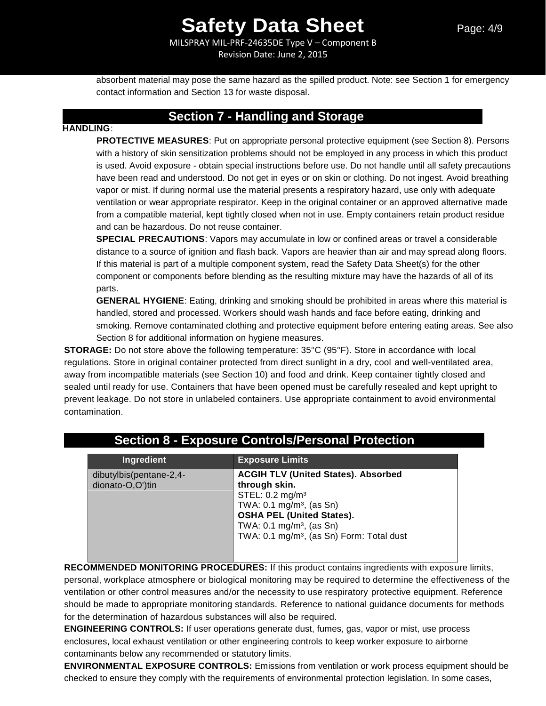MILSPRAY MIL-PRF-24635DE Type V – Component B Revision Date: June 2, 2015

absorbent material may pose the same hazard as the spilled product. Note: see Section 1 for emergency contact information and Section 13 for waste disposal.

#### **HANDLING**:

## **Section 7 - Handling and Storage**

**PROTECTIVE MEASURES**: Put on appropriate personal protective equipment (see Section 8). Persons with a history of skin sensitization problems should not be employed in any process in which this product is used. Avoid exposure - obtain special instructions before use. Do not handle until all safety precautions have been read and understood. Do not get in eyes or on skin or clothing. Do not ingest. Avoid breathing vapor or mist. If during normal use the material presents a respiratory hazard, use only with adequate ventilation or wear appropriate respirator. Keep in the original container or an approved alternative made from a compatible material, kept tightly closed when not in use. Empty containers retain product residue and can be hazardous. Do not reuse container.

**SPECIAL PRECAUTIONS**: Vapors may accumulate in low or confined areas or travel a considerable distance to a source of ignition and flash back. Vapors are heavier than air and may spread along floors. If this material is part of a multiple component system, read the Safety Data Sheet(s) for the other component or components before blending as the resulting mixture may have the hazards of all of its parts.

**GENERAL HYGIENE**: Eating, drinking and smoking should be prohibited in areas where this material is handled, stored and processed. Workers should wash hands and face before eating, drinking and smoking. Remove contaminated clothing and protective equipment before entering eating areas. See also Section 8 for additional information on hygiene measures.

**STORAGE:** Do not store above the following temperature: 35°C (95°F). Store in accordance with local regulations. Store in original container protected from direct sunlight in a dry, cool and well-ventilated area, away from incompatible materials (see Section 10) and food and drink. Keep container tightly closed and sealed until ready for use. Containers that have been opened must be carefully resealed and kept upright to prevent leakage. Do not store in unlabeled containers. Use appropriate containment to avoid environmental contamination.

| Ingredient                                  | <b>Exposure Limits</b>                                                                                                                                                                                                                                                 |
|---------------------------------------------|------------------------------------------------------------------------------------------------------------------------------------------------------------------------------------------------------------------------------------------------------------------------|
| dibutylbis(pentane-2,4-<br>dionato-O,O')tin | <b>ACGIH TLV (United States). Absorbed</b><br>through skin.<br>STEL: 0.2 mg/m <sup>3</sup><br>TWA: $0.1 \text{ mg/m}^3$ , (as Sn)<br><b>OSHA PEL (United States).</b><br>TWA: 0.1 mg/m <sup>3</sup> , (as Sn)<br>TWA: 0.1 mg/m <sup>3</sup> , (as Sn) Form: Total dust |

## **Section 8 - Exposure Controls/Personal Protection**

**RECOMMENDED MONITORING PROCEDURES:** If this product contains ingredients with exposure limits, personal, workplace atmosphere or biological monitoring may be required to determine the effectiveness of the ventilation or other control measures and/or the necessity to use respiratory protective equipment. Reference should be made to appropriate monitoring standards. Reference to national guidance documents for methods for the determination of hazardous substances will also be required.

**ENGINEERING CONTROLS:** If user operations generate dust, fumes, gas, vapor or mist, use process enclosures, local exhaust ventilation or other engineering controls to keep worker exposure to airborne contaminants below any recommended or statutory limits.

**ENVIRONMENTAL EXPOSURE CONTROLS:** Emissions from ventilation or work process equipment should be checked to ensure they comply with the requirements of environmental protection legislation. In some cases,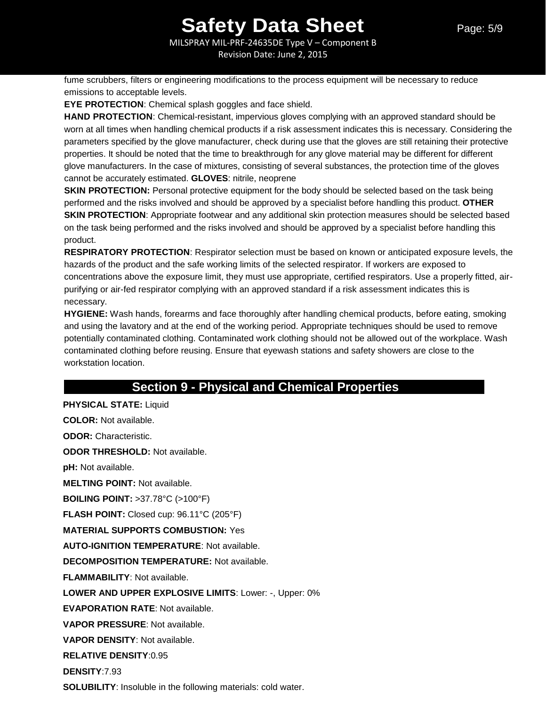MILSPRAY MIL-PRF-24635DE Type V – Component B Revision Date: June 2, 2015

fume scrubbers, filters or engineering modifications to the process equipment will be necessary to reduce emissions to acceptable levels.

**EYE PROTECTION**: Chemical splash goggles and face shield.

**HAND PROTECTION**: Chemical-resistant, impervious gloves complying with an approved standard should be worn at all times when handling chemical products if a risk assessment indicates this is necessary. Considering the parameters specified by the glove manufacturer, check during use that the gloves are still retaining their protective properties. It should be noted that the time to breakthrough for any glove material may be different for different glove manufacturers. In the case of mixtures, consisting of several substances, the protection time of the gloves cannot be accurately estimated. **GLOVES**: nitrile, neoprene

**SKIN PROTECTION:** Personal protective equipment for the body should be selected based on the task being performed and the risks involved and should be approved by a specialist before handling this product. **OTHER SKIN PROTECTION**: Appropriate footwear and any additional skin protection measures should be selected based on the task being performed and the risks involved and should be approved by a specialist before handling this product.

**RESPIRATORY PROTECTION**: Respirator selection must be based on known or anticipated exposure levels, the hazards of the product and the safe working limits of the selected respirator. If workers are exposed to concentrations above the exposure limit, they must use appropriate, certified respirators. Use a properly fitted, airpurifying or air-fed respirator complying with an approved standard if a risk assessment indicates this is necessary.

**HYGIENE:** Wash hands, forearms and face thoroughly after handling chemical products, before eating, smoking and using the lavatory and at the end of the working period. Appropriate techniques should be used to remove potentially contaminated clothing. Contaminated work clothing should not be allowed out of the workplace. Wash contaminated clothing before reusing. Ensure that eyewash stations and safety showers are close to the workstation location.

## **Section 9 - Physical and Chemical Properties**

**PHYSICAL STATE:** Liquid **COLOR:** Not available. **ODOR:** Characteristic. **ODOR THRESHOLD:** Not available. **pH:** Not available. **MELTING POINT:** Not available. **BOILING POINT:** >37.78°C (>100°F) **FLASH POINT:** Closed cup: 96.11°C (205°F) **MATERIAL SUPPORTS COMBUSTION:** Yes **AUTO-IGNITION TEMPERATURE**: Not available. **DECOMPOSITION TEMPERATURE:** Not available. **FLAMMABILITY**: Not available. **LOWER AND UPPER EXPLOSIVE LIMITS**: Lower: -, Upper: 0% **EVAPORATION RATE**: Not available. **VAPOR PRESSURE**: Not available. **VAPOR DENSITY**: Not available. **RELATIVE DENSITY**:0.95 **DENSITY**:7.93 **SOLUBILITY**: Insoluble in the following materials: cold water.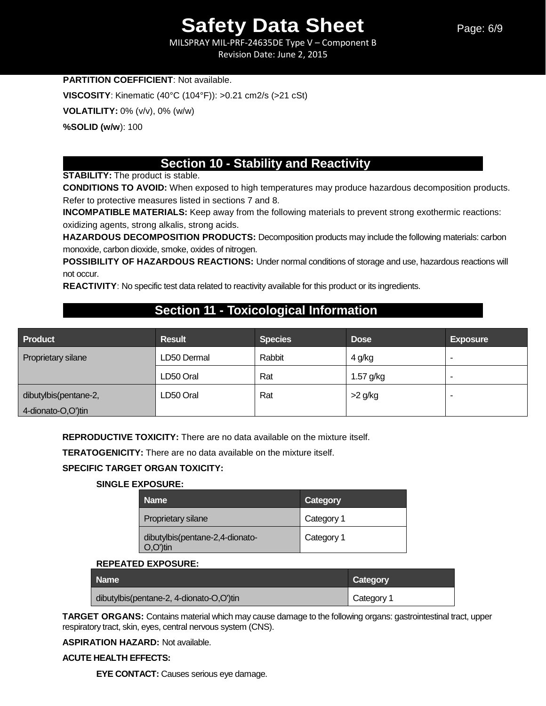MILSPRAY MIL-PRF-24635DE Type V – Component B Revision Date: June 2, 2015

## **PARTITION COEFFICIENT**: Not available.

**VISCOSITY**: Kinematic (40°C (104°F)): >0.21 cm2/s (>21 cSt)

**VOLATILITY:** 0% (v/v), 0% (w/w)

**%SOLID (w/w**): 100

## **Section 10 - Stability and Reactivity**

**STABILITY:** The product is stable.

**CONDITIONS TO AVOID:** When exposed to high temperatures may produce hazardous decomposition products. Refer to protective measures listed in sections 7 and 8.

**INCOMPATIBLE MATERIALS:** Keep away from the following materials to prevent strong exothermic reactions: oxidizing agents, strong alkalis, strong acids.

**HAZARDOUS DECOMPOSITION PRODUCTS:** Decomposition products may include the following materials: carbon monoxide, carbon dioxide, smoke, oxides of nitrogen.

**POSSIBILITY OF HAZARDOUS REACTIONS:** Under normal conditions of storage and use, hazardous reactions will not occur.

**REACTIVITY**: No specific test data related to reactivity available for this product or its ingredients.

## **Section 11 - Toxicological Information**

| Product               | <b>Result</b> | <b>Species</b> | <b>Dose</b> | <b>Exposure</b>          |
|-----------------------|---------------|----------------|-------------|--------------------------|
| Proprietary silane    | LD50 Dermal   | Rabbit         | 4 g/kg      |                          |
|                       | LD50 Oral     | Rat            | 1.57 g/kg   | $\overline{\phantom{0}}$ |
| dibutylbis(pentane-2, | LD50 Oral     | Rat            | $>2$ g/kg   |                          |
| 4-dionato-O,O')tin    |               |                |             |                          |

**REPRODUCTIVE TOXICITY:** There are no data available on the mixture itself.

**TERATOGENICITY:** There are no data available on the mixture itself.

## **SPECIFIC TARGET ORGAN TOXICITY:**

## **SINGLE EXPOSURE:**

| <b>Name</b>                     | <b>Category</b> |
|---------------------------------|-----------------|
| Proprietary silane              | Category 1      |
| dibutylbis(pentane-2,4-dionato- | Category 1      |

## **REPEATED EXPOSURE:**

| <b>Name</b>                              | Category   |
|------------------------------------------|------------|
| dibutylbis(pentane-2, 4-dionato-O,O')tin | Category 1 |

**TARGET ORGANS:** Contains material which may cause damage to the following organs: gastrointestinal tract, upper respiratory tract, skin, eyes, central nervous system (CNS).

## **ASPIRATION HAZARD:** Not available.

## **ACUTE HEALTH EFFECTS:**

**EYE CONTACT:** Causes serious eye damage.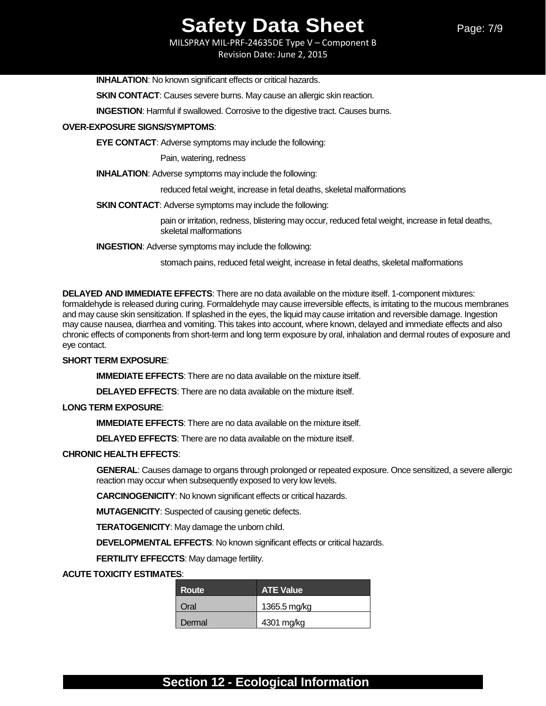MILSPRAY MIL-PRF-24635DE Type V – Component B Revision Date: June 2, 2015

**INHALATION**: No known significant effects or critical hazards.

**SKIN CONTACT:** Causes severe burns. May cause an allergic skin reaction.

**INGESTION**: Harmful if swallowed. Corrosive to the digestive tract. Causes burns.

#### **OVER-EXPOSURE SIGNS/SYMPTOMS**:

**EYE CONTACT**: Adverse symptoms may include the following:

Pain, watering, redness

**INHALATION**: Adverse symptoms may include the following:

reduced fetal weight, increase in fetal deaths, skeletal malformations

**SKIN CONTACT**: Adverse symptoms may include the following:

pain or irritation, redness, blistering may occur, reduced fetal weight, increase in fetal deaths, skeletal malformations

**INGESTION**: Adverse symptoms may include the following:

stomach pains, reduced fetal weight, increase in fetal deaths, skeletal malformations

**DELAYED AND IMMEDIATE EFFECTS**: There are no data available on the mixture itself. 1-component mixtures: formaldehyde is released during curing. Formaldehyde may cause irreversible effects, is irritating to the mucous membranes and may cause skin sensitization. If splashed in the eyes, the liquid may cause irritation and reversible damage. Ingestion may cause nausea, diarrhea and vomiting. This takes into account, where known, delayed and immediate effects and also chronic effects of components from short-term and long term exposure by oral, inhalation and dermal routes of exposure and eye contact.

#### **SHORT TERM EXPOSURE**:

**IMMEDIATE EFFECTS**: There are no data available on the mixture itself.

**DELAYED EFFECTS**: There are no data available on the mixture itself.

#### **LONG TERM EXPOSURE**:

**IMMEDIATE EFFECTS**: There are no data available on the mixture itself.

**DELAYED EFFECTS**: There are no data available on the mixture itself.

### **CHRONIC HEALTH EFFECTS**:

**GENERAL**: Causes damage to organs through prolonged or repeated exposure. Once sensitized, a severe allergic reaction may occur when subsequently exposed to very low levels.

**CARCINOGENICITY**: No known significant effects or critical hazards.

**MUTAGENICITY**: Suspected of causing genetic defects.

**TERATOGENICITY**: May damage the unborn child.

**DEVELOPMENTAL EFFECTS**: No known significant effects or critical hazards.

**FERTILITY EFFECCTS: May damage fertility.** 

#### **ACUTE TOXICITY ESTIMATES**:

| Route  | <b>ATE Value</b> |
|--------|------------------|
| Oral   | 1365.5 mg/kg     |
| Dermal | 4301 mg/kg       |

## **Section 12 - Ecological Information**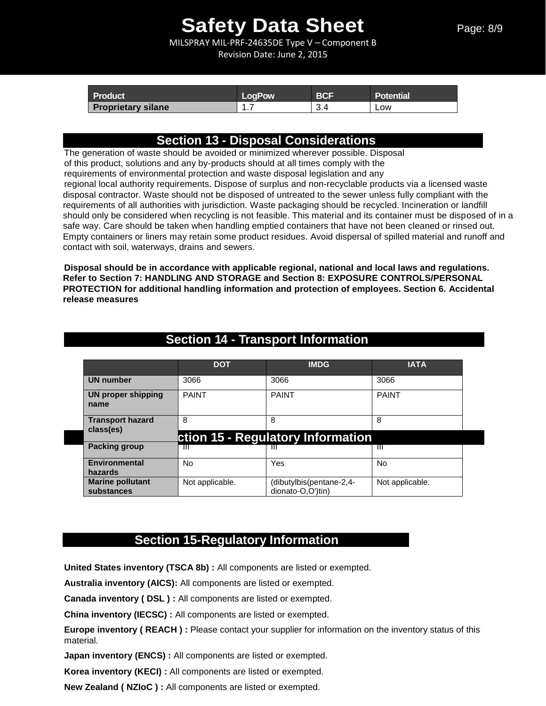MILSPRAY MIL-PRF-24635DE Type V – Component B Revision Date: June 2, 2015

| <b>Product</b>            | LogPow | <b>BCF</b> | <b>Potential</b> |
|---------------------------|--------|------------|------------------|
| <b>Proprietary silane</b> | .      | 3.4        | Low              |

## **Section 13 - Disposal Considerations**

The generation of waste should be avoided or minimized wherever possible. Disposal of this product, solutions and any by-products should at all times comply with the requirements of environmental protection and waste disposal legislation and any regional local authority requirements. Dispose of surplus and non-recyclable products via a licensed waste disposal contractor. Waste should not be disposed of untreated to the sewer unless fully compliant with the requirements of all authorities with jurisdiction. Waste packaging should be recycled. Incineration or landfill should only be considered when recycling is not feasible. This material and its container must be disposed of in a safe way. Care should be taken when handling emptied containers that have not been cleaned or rinsed out. Empty containers or liners may retain some product residues. Avoid dispersal of spilled material and runoff and contact with soil, waterways, drains and sewers.

**Disposal should be in accordance with applicable regional, national and local laws and regulations. Refer to Section 7: HANDLING AND STORAGE and Section 8: EXPOSURE CONTROLS/PERSONAL PROTECTION for additional handling information and protection of employees. Section 6. Accidental release measures**

|                                       | <b>DOT</b>      | <b>IMDG</b>                                   | <b>IATA</b>     |
|---------------------------------------|-----------------|-----------------------------------------------|-----------------|
| <b>UN number</b>                      | 3066            | 3066                                          | 3066            |
| <b>UN proper shipping</b><br>name     | <b>PAINT</b>    | <b>PAINT</b>                                  | <b>PAINT</b>    |
| <b>Transport hazard</b><br>class(es)  | 8               | 8<br>ction 15 - Regulatory Information        | 8               |
| <b>Packing group</b>                  | Ш               | ш                                             | Ш               |
| Environmental<br>hazards              | <b>No</b>       | Yes                                           | No              |
| <b>Marine pollutant</b><br>substances | Not applicable. | (dibutylbis(pentane-2,4-<br>dionato-O,O')tin) | Not applicable. |

## **Section 14 - Transport Information**

## **Section 15-Regulatory Information**

**United States inventory (TSCA 8b) :** All components are listed or exempted.

**Australia inventory (AICS):** All components are listed or exempted.

**Canada inventory ( DSL ) :** All components are listed or exempted.

**China inventory (IECSC) :** All components are listed or exempted.

**Europe inventory ( REACH ) :** Please contact your supplier for information on the inventory status of this material.

**Japan inventory (ENCS) :** All components are listed or exempted.

**Korea inventory (KECI) :** All components are listed or exempted.

**New Zealand ( NZIoC ) :** All components are listed or exempted.